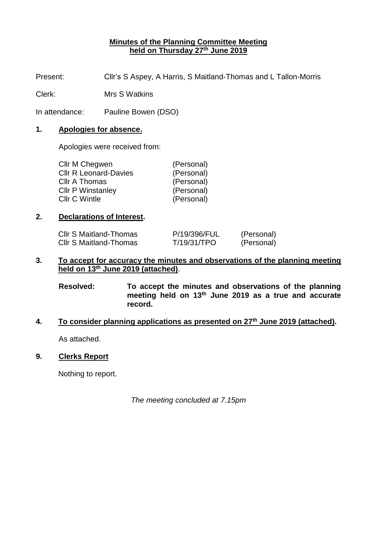## **Minutes of the Planning Committee Meeting held on Thursday 27 th June 2019**

Present: Cllr's S Aspey, A Harris, S Maitland-Thomas and L Tallon-Morris

Clerk: Mrs S Watkins

In attendance: Pauline Bowen (DSO)

#### **1. Apologies for absence.**

Apologies were received from:

| Cllr M Chegwen               | (Personal) |
|------------------------------|------------|
| <b>CIIr R Leonard-Davies</b> | (Personal) |
| Cllr A Thomas                | (Personal) |
| <b>Cllr P Winstanley</b>     | (Personal) |
| Cllr C Wintle                | (Personal) |
|                              |            |

#### **2. Declarations of Interest.**

| <b>CIIr S Maitland-Thomas</b> | P/19/396/FUL | (Personal) |
|-------------------------------|--------------|------------|
| <b>CIIr S Maitland-Thomas</b> | T/19/31/TPO  | (Personal) |

## **3. To accept for accuracy the minutes and observations of the planning meeting held on 13th June 2019 (attached)**.

**Resolved: To accept the minutes and observations of the planning meeting held on 13th June 2019 as a true and accurate record.**

#### **4. To consider planning applications as presented on 27 th June 2019 (attached).**

As attached.

# **9. Clerks Report**

Nothing to report.

*The meeting concluded at 7.15pm*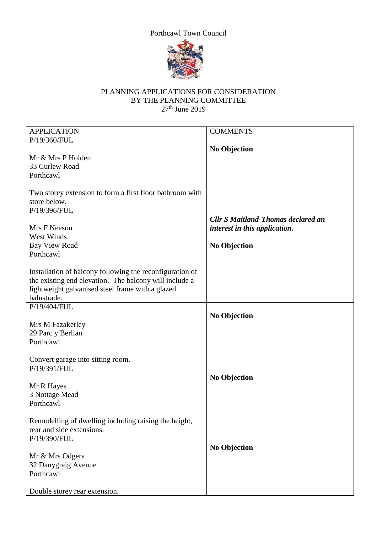# Porthcawl Town Council



### PLANNING APPLICATIONS FOR CONSIDERATION BY THE PLANNING COMMITTEE  $27<sup>th</sup>$  June 2019

| <b>APPLICATION</b>                                       | <b>COMMENTS</b>                           |
|----------------------------------------------------------|-------------------------------------------|
| P/19/360/FUL                                             |                                           |
|                                                          | <b>No Objection</b>                       |
| Mr & Mrs P Holden                                        |                                           |
| 33 Curlew Road                                           |                                           |
| Porthcawl                                                |                                           |
|                                                          |                                           |
| Two storey extension to form a first floor bathroom with |                                           |
| store below.                                             |                                           |
| P/19/396/FUL                                             |                                           |
|                                                          | <b>Cllr S Maitland-Thomas declared an</b> |
| Mrs F Neeson                                             |                                           |
|                                                          | interest in this application.             |
| <b>West Winds</b>                                        |                                           |
| <b>Bay View Road</b>                                     | <b>No Objection</b>                       |
| Porthcawl                                                |                                           |
|                                                          |                                           |
| Installation of balcony following the reconfiguration of |                                           |
| the existing end elevation. The balcony will include a   |                                           |
| lightweight galvanised steel frame with a glazed         |                                           |
| balustrade.                                              |                                           |
| P/19/404/FUL                                             |                                           |
|                                                          | <b>No Objection</b>                       |
| Mrs M Fazakerley                                         |                                           |
| 29 Parc y Berllan                                        |                                           |
| Porthcawl                                                |                                           |
|                                                          |                                           |
| Convert garage into sitting room.                        |                                           |
| P/19/391/FUL                                             |                                           |
|                                                          | <b>No Objection</b>                       |
| Mr R Hayes                                               |                                           |
| 3 Nottage Mead                                           |                                           |
| Porthcawl                                                |                                           |
|                                                          |                                           |
| Remodelling of dwelling including raising the height,    |                                           |
| rear and side extensions.                                |                                           |
|                                                          |                                           |
| P/19/390/FUL                                             |                                           |
|                                                          | <b>No Objection</b>                       |
| Mr & Mrs Odgers                                          |                                           |
| 32 Danygraig Avenue                                      |                                           |
| Porthcawl                                                |                                           |
|                                                          |                                           |
| Double storey rear extension.                            |                                           |